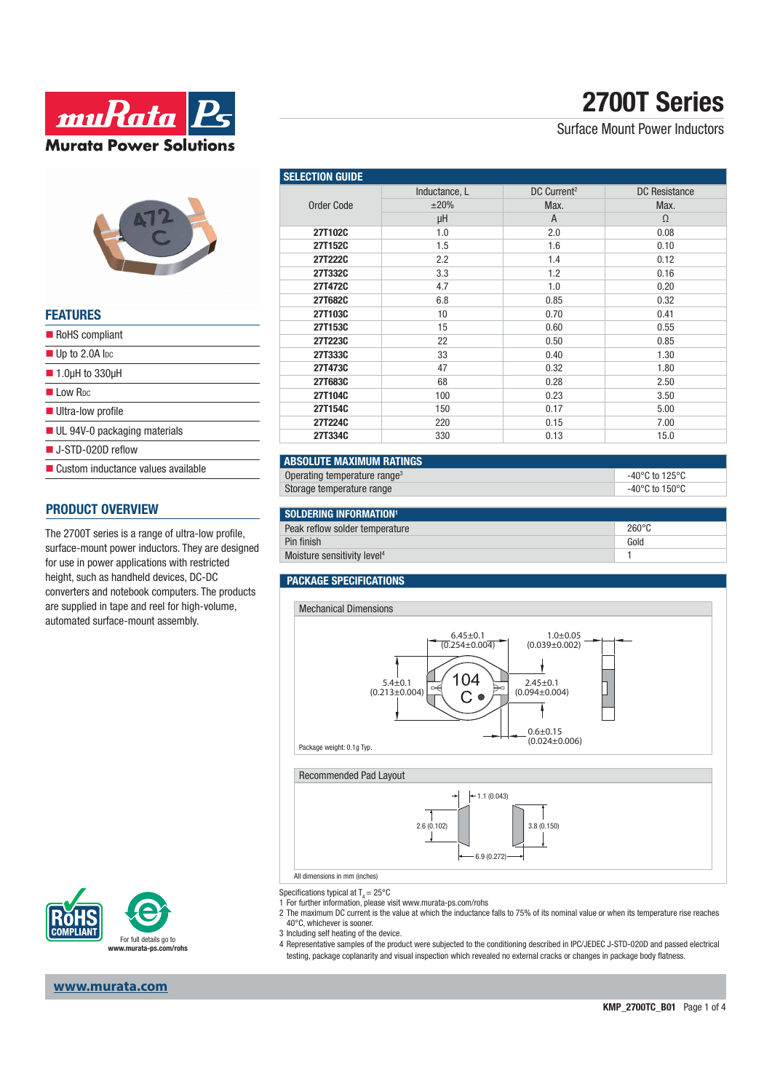

| <b>FEATURES</b>                             |
|---------------------------------------------|
| RoHS compliant                              |
| $\blacksquare$ Up to 2.0A lpc               |
| $\blacksquare$ 1.0µH to 330µH               |
| I I ow R <sub>DC</sub>                      |
| Ultra-low profile                           |
| $\blacksquare$ UL 94V-0 packaging materials |
| $\blacksquare$ J-STD-020D reflow            |
| ■ Custom inductance values available        |

### **PRODUCT OVERVIEW**

The 2700T series is a range of ultra-low profile, surface-mount power inductors. They are designed for use in power applications with restricted height, such as handheld devices, DC-DC converters and notebook computers. The products are supplied in tape and reel for high-volume, automated surface-mount assembly.



### **www.murata.com**

# **2700T Series**

Surface Mount Power Inductors

| <b>SELECTION GUIDE</b> |               |                         |                      |  |
|------------------------|---------------|-------------------------|----------------------|--|
|                        | Inductance, L | DC Current <sup>2</sup> | <b>DC</b> Resistance |  |
| Order Code             | ±20%          | Max.                    | Max.                 |  |
|                        | μH            | A                       | $\Omega$             |  |
| 27T102C                | 1.0           | 2.0                     | 0.08                 |  |
| 27T152C                | 1.5           | 1.6                     | 0.10                 |  |
| 27T222C                | 2.2           | 1.4                     | 0.12                 |  |
| 27T332C                | 3.3           | 1.2                     | 0.16                 |  |
| 27T472C                | 4.7           | 1.0                     | 0.20                 |  |
| 27T682C                | 6.8           | 0.85                    | 0.32                 |  |
| 27T103C                | 10            | 0.70                    | 0.41                 |  |
| 27T153C                | 15            | 0.60                    | 0.55                 |  |
| 27T223C                | 22            | 0.50                    | 0.85                 |  |
| 27T333C                | 33            | 0.40                    | 1.30                 |  |
| 27T473C                | 47            | 0.32                    | 1.80                 |  |
| 27T683C                | 68            | 0.28                    | 2.50                 |  |
| 27T104C                | 100           | 0.23                    | 3.50                 |  |
| 27T154C                | 150           | 0.17                    | 5.00                 |  |
| 27T224C                | 220           | 0.15                    | 7.00                 |  |
| 27T334C                | 330           | 0.13                    | 15.0                 |  |

| <b>ABSOLUTE MAXIMUM RATINGS</b>          |                                      |  |  |  |
|------------------------------------------|--------------------------------------|--|--|--|
| Operating temperature range <sup>3</sup> | -40 $^{\circ}$ C to 125 $^{\circ}$ C |  |  |  |
| Storage temperature range                | $-40^{\circ}$ C to 150 $^{\circ}$ C  |  |  |  |
|                                          |                                      |  |  |  |
| SOLDERING INFORMATION <sup>1</sup>       |                                      |  |  |  |
| Peak reflow solder temperature           | $260^{\circ}$ C                      |  |  |  |
| Pin finish                               | Gold                                 |  |  |  |

Moisture sensitivity level<sup>4</sup> 1

#### **PACKAGE SPECIFICATIONS**



Specifications typical at  $T_a = 25^{\circ}$ C

1 For further information, please visit www.murata-ps.com/rohs

- 2 The maximum DC current is the value at which the inductance falls to 75% of its nominal value or when its temperature rise reaches 40°C, whichever is sooner.
- 3 Including self heating of the device.
- 4 Representative samples of the product were subjected to the conditioning described in IPC/JEDEC J-STD-020D and passed electrical testing, package coplanarity and visual inspection which revealed no external cracks or changes in package body flatness.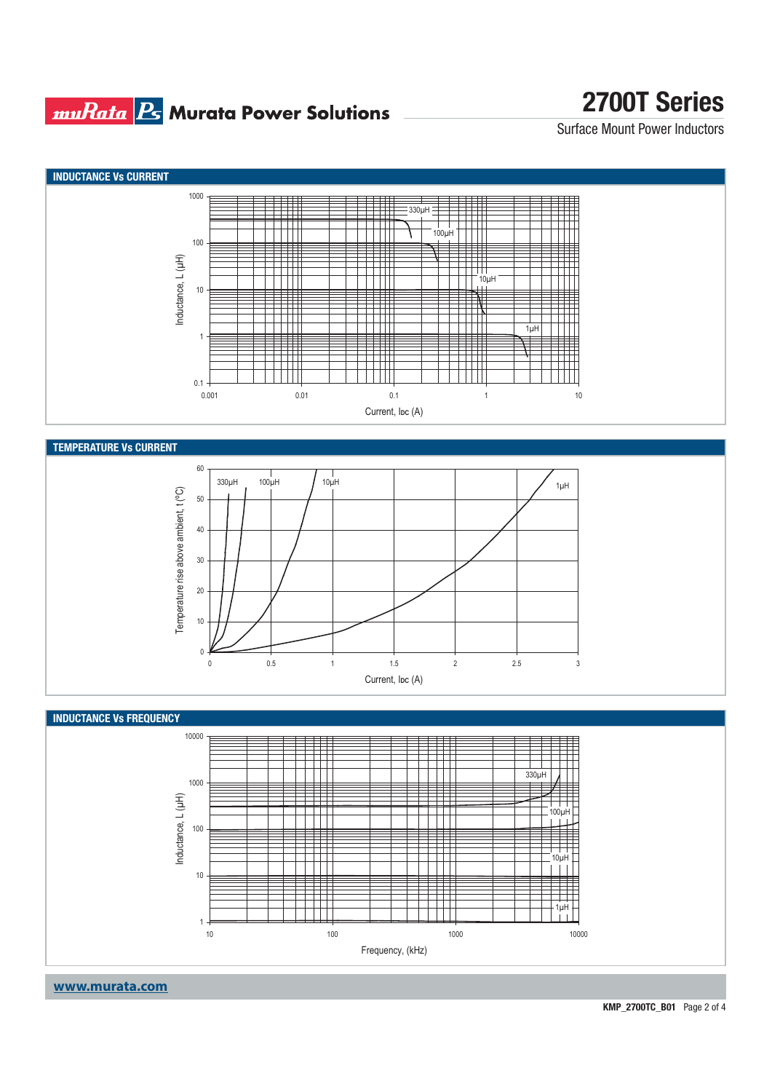### **muRata Bs** Murata Power Solutions

# **2700T Series**

Surface Mount Power Inductors



**KMP\_2700TC\_B01** Page 2 of 4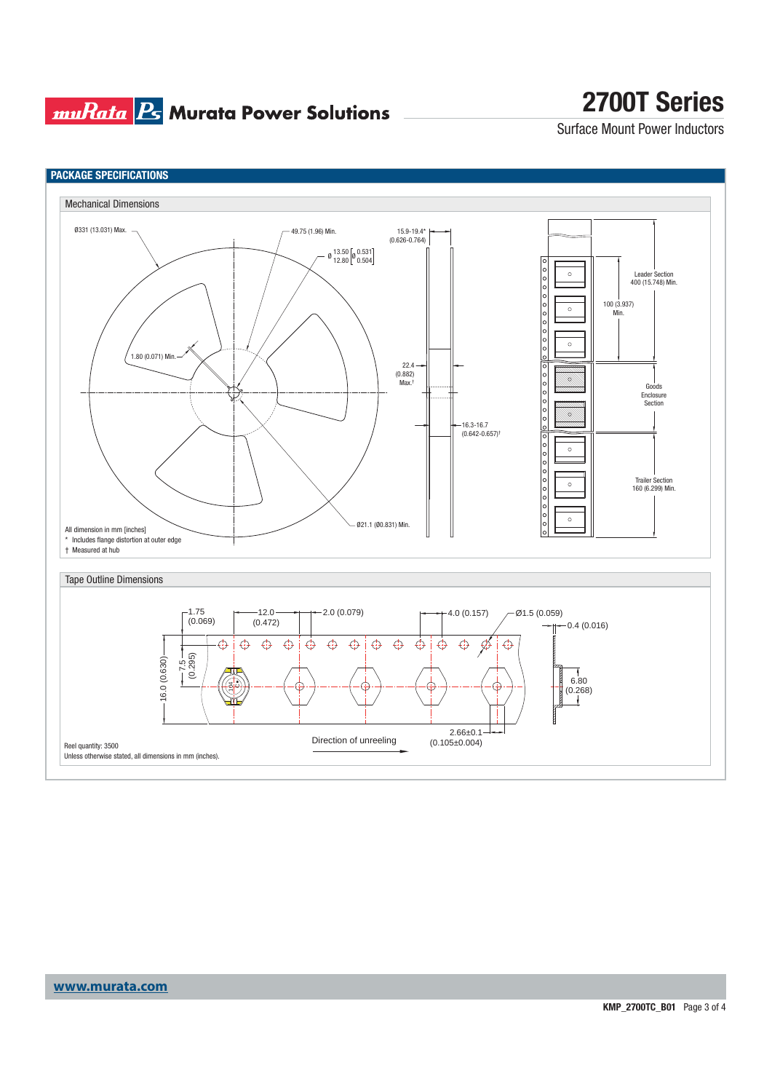### **muRata Ps** Murata Power Solutions

# **2700T Series**

Surface Mount Power Inductors



### **www.murata.com**

**KMP\_2700TC\_B01** Page 3 of 4